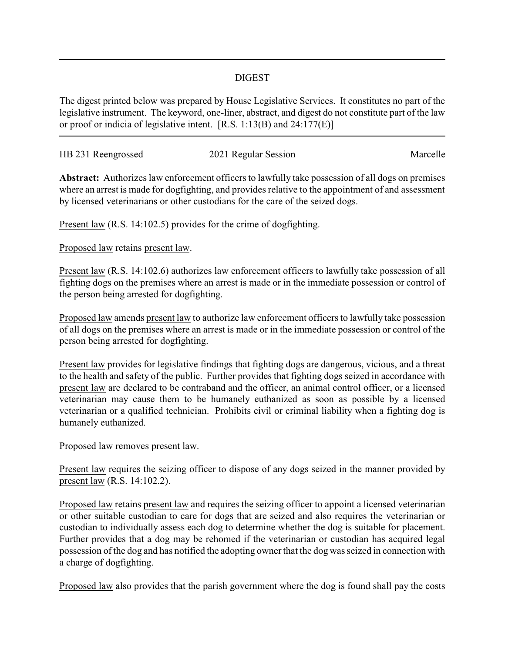## DIGEST

The digest printed below was prepared by House Legislative Services. It constitutes no part of the legislative instrument. The keyword, one-liner, abstract, and digest do not constitute part of the law or proof or indicia of legislative intent. [R.S. 1:13(B) and 24:177(E)]

| HB 231 Reengrossed | 2021 Regular Session | Marcelle |
|--------------------|----------------------|----------|
|                    |                      |          |

**Abstract:** Authorizes law enforcement officers to lawfully take possession of all dogs on premises where an arrest is made for dogfighting, and provides relative to the appointment of and assessment by licensed veterinarians or other custodians for the care of the seized dogs.

Present law (R.S. 14:102.5) provides for the crime of dogfighting.

Proposed law retains present law.

Present law (R.S. 14:102.6) authorizes law enforcement officers to lawfully take possession of all fighting dogs on the premises where an arrest is made or in the immediate possession or control of the person being arrested for dogfighting.

Proposed law amends present law to authorize law enforcement officers to lawfully take possession of all dogs on the premises where an arrest is made or in the immediate possession or control of the person being arrested for dogfighting.

Present law provides for legislative findings that fighting dogs are dangerous, vicious, and a threat to the health and safety of the public. Further provides that fighting dogs seized in accordance with present law are declared to be contraband and the officer, an animal control officer, or a licensed veterinarian may cause them to be humanely euthanized as soon as possible by a licensed veterinarian or a qualified technician. Prohibits civil or criminal liability when a fighting dog is humanely euthanized.

Proposed law removes present law.

Present law requires the seizing officer to dispose of any dogs seized in the manner provided by present law (R.S. 14:102.2).

Proposed law retains present law and requires the seizing officer to appoint a licensed veterinarian or other suitable custodian to care for dogs that are seized and also requires the veterinarian or custodian to individually assess each dog to determine whether the dog is suitable for placement. Further provides that a dog may be rehomed if the veterinarian or custodian has acquired legal possession of the dog and has notified the adopting owner that the dog was seized in connection with a charge of dogfighting.

Proposed law also provides that the parish government where the dog is found shall pay the costs